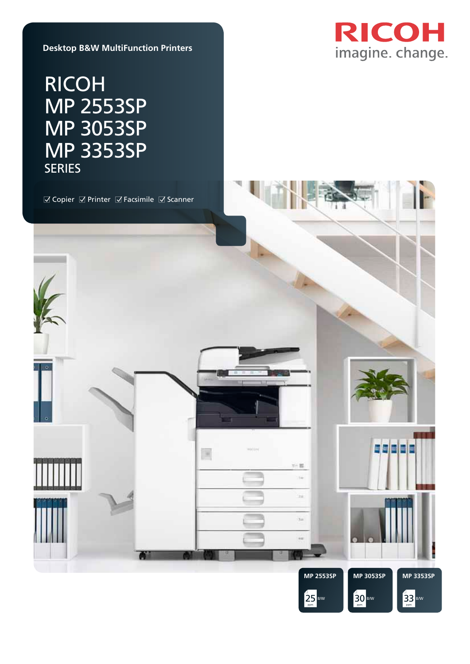

**Desktop B&W MultiFunction Printers**

# RICOH MP 2553SP MP 3053SP MP 3353SP SERIES

□ Copier □ Printer □ Facsimile □ Scanner

圖



三篇 ίű.

 $\overline{\phantom{a}}$ 

 $_{\rm 3d}$ 

 $rac{1}{2}$ 



saaaa



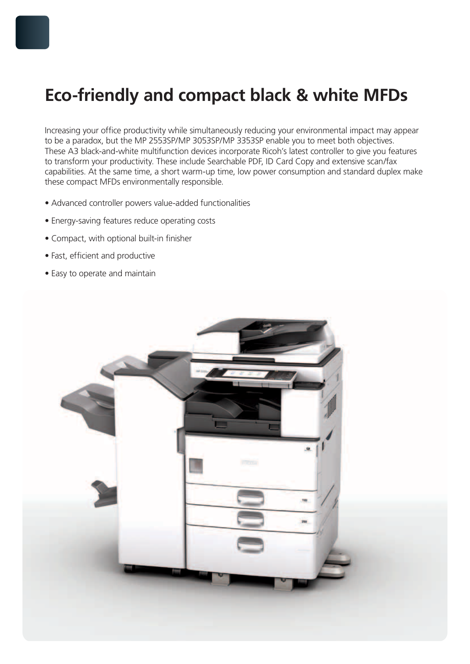# **Eco-friendly and compact black & white MFDs**

Increasing your office productivity while simultaneously reducing your environmental impact may appear to be a paradox, but the MP 2553SP/MP 3053SP/MP 3353SP enable you to meet both objectives. These A3 black-and-white multifunction devices incorporate Ricoh's latest controller to give you features to transform your productivity. These include Searchable PDF, ID Card Copy and extensive scan/fax capabilities. At the same time, a short warm-up time, low power consumption and standard duplex make these compact MFDs environmentally responsible.

- Advanced controller powers value-added functionalities
- Energy-saving features reduce operating costs
- Compact, with optional built-in finisher
- Fast, efficient and productive
- Easy to operate and maintain

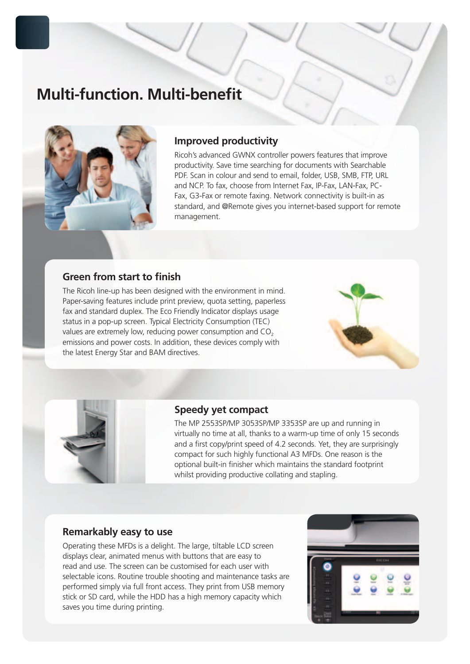# **Multi-function. Multi-benefit**



# **Improved productivity**

Ricoh's advanced GWNX controller powers features that improve productivity. Save time searching for documents with Searchable PDF. Scan in colour and send to email, folder, USB, SMB, FTP, URL and NCP. To fax, choose from Internet Fax, IP-Fax, LAN-Fax, PC-Fax, G3-Fax or remote faxing. Network connectivity is built-in as standard, and @Remote gives you internet-based support for remote management.

# **Green from start to finish**

The Ricoh line-up has been designed with the environment in mind. Paper-saving features include print preview, quota setting, paperless fax and standard duplex. The Eco Friendly Indicator displays usage status in a pop-up screen. Typical Electricity Consumption (TEC) values are extremely low, reducing power consumption and  $CO<sub>2</sub>$ emissions and power costs. In addition, these devices comply with the latest Energy Star and BAM directives.





### **Speedy yet compact**

The MP 2553SP/MP 3053SP/MP 3353SP are up and running in virtually no time at all, thanks to a warm-up time of only 15 seconds and a first copy/print speed of 4.2 seconds. Yet, they are surprisingly compact for such highly functional A3 MFDs. One reason is the optional built-in finisher which maintains the standard footprint whilst providing productive collating and stapling.

### **Remarkably easy to use**

Operating these MFDs is a delight. The large, tiltable LCD screen displays clear, animated menus with buttons that are easy to read and use. The screen can be customised for each user with selectable icons. Routine trouble shooting and maintenance tasks are performed simply via full front access. They print from USB memory stick or SD card, while the HDD has a high memory capacity which saves you time during printing.